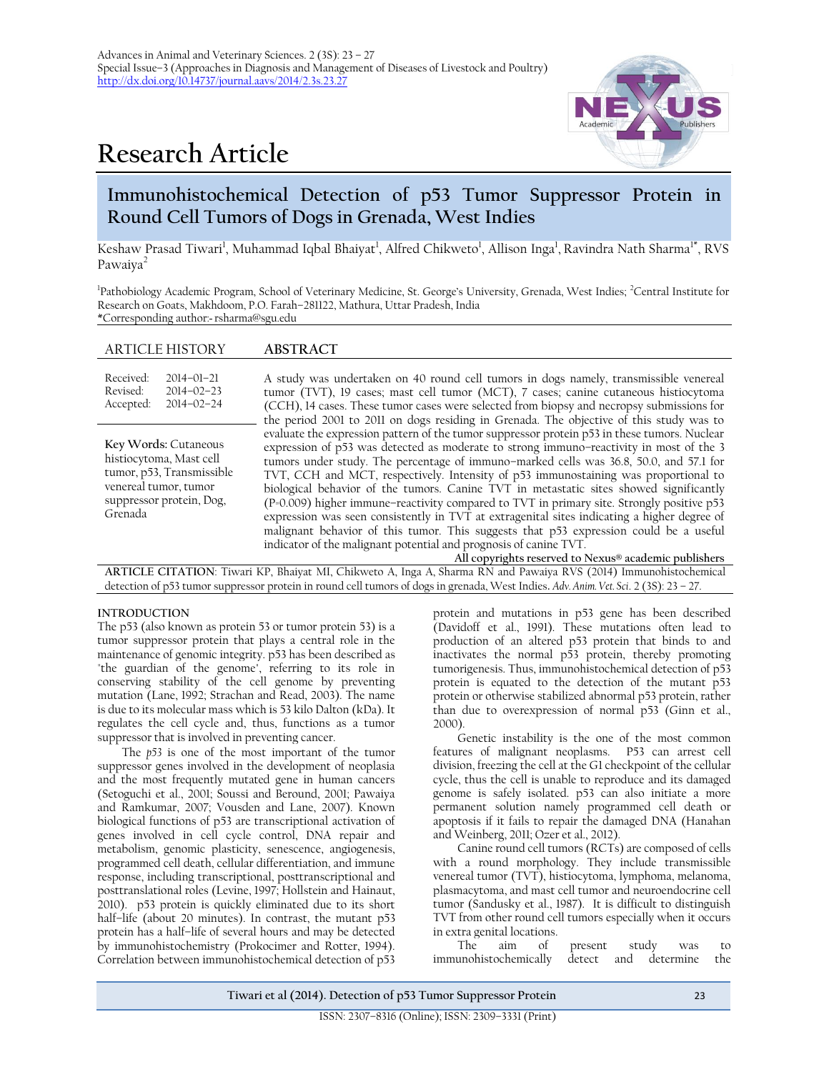# **Research Article**



# **Immunohistochemical Detection of p53 Tumor Suppressor Protein in Round Cell Tumors of Dogs in Grenada, West Indies**

Keshaw Prasad Tiwari<sup>1</sup>, Muhammad Iqbal Bhaiyat<sup>1</sup>, Alfred Chikweto<sup>1</sup>, Allison Inga<sup>1</sup>, Ravindra Nath Sharma<sup>1\*</sup>, RVS Pawaiya<sup>2</sup>

<sup>1</sup>Pathobiology Academic Program, School of Veterinary Medicine, St. George's University, Grenada, West Indies; <sup>2</sup>Central Institute for Research on Goats, Makhdoom, P.O. Farah–281122, Mathura, Uttar Pradesh, India \*Corresponding author: rsharma@sgu.edu

## ARTICLE HISTORY **ABSTRACT**

| Received:<br>Revised:<br>Accepted:                                                                                                           | $2014 - 01 - 21$<br>$2014 - 02 - 23$<br>$2014 - 02 - 24$ | A study was undertaken on 40 round cell tumors in dogs namely, transmissible venereal<br>tumor (TVT), 19 cases; mast cell tumor (MCT), 7 cases; canine cutaneous histiocytoma<br>(CCH), 14 cases. These tumor cases were selected from biopsy and necropsy submissions for<br>the period 2001 to 2011 on dogs residing in Grenada. The objective of this study was to                                                                                                                                                                                                                                                                                                                                                                                                                                                                                                                 |  |  |  |  |
|----------------------------------------------------------------------------------------------------------------------------------------------|----------------------------------------------------------|---------------------------------------------------------------------------------------------------------------------------------------------------------------------------------------------------------------------------------------------------------------------------------------------------------------------------------------------------------------------------------------------------------------------------------------------------------------------------------------------------------------------------------------------------------------------------------------------------------------------------------------------------------------------------------------------------------------------------------------------------------------------------------------------------------------------------------------------------------------------------------------|--|--|--|--|
| Key Words: Cutaneous<br>histiocytoma, Mast cell<br>tumor, p53, Transmissible<br>venereal tumor, tumor<br>suppressor protein, Dog,<br>Grenada |                                                          | evaluate the expression pattern of the tumor suppressor protein p53 in these tumors. Nuclear<br>expression of p53 was detected as moderate to strong immuno-reactivity in most of the 3<br>tumors under study. The percentage of immuno-marked cells was 36.8, 50.0, and 57.1 for<br>TVT, CCH and MCT, respectively. Intensity of p53 immunostaining was proportional to<br>biological behavior of the tumors. Canine TVT in metastatic sites showed significantly<br>(P=0.009) higher immune-reactivity compared to TVT in primary site. Strongly positive p53<br>expression was seen consistently in TVT at extragenital sites indicating a higher degree of<br>malignant behavior of this tumor. This suggests that p53 expression could be a useful<br>indicator of the malignant potential and prognosis of canine TVT.<br>All copyrights reserved to Nexus® academic publishers |  |  |  |  |
| ARTICLE CITATION: Tiwari KP, Bhaiyat MI, Chikweto A, Inga A, Sharma RN and Pawaiya RVS (2014) Immunohistochemical                            |                                                          |                                                                                                                                                                                                                                                                                                                                                                                                                                                                                                                                                                                                                                                                                                                                                                                                                                                                                       |  |  |  |  |

detection of p53 tumor suppressor protein in round cell tumors of dogs in grenada, West Indies**.** *Adv. Anim. Vet. Sci*. 2 (3S): 23 – 27.

#### **INTRODUCTION**

The p53 (also known as protein 53 or tumor protein 53) is a tumor suppressor protein that plays a central role in the maintenance of genomic integrity. p53 has been described as "the guardian of the genome", referring to its role in conserving stability of the cell genome by preventing mutation (Lane, 1992; Strachan and Read, 2003). The name is due to its molecular mass which is 53 kilo Dalton (kDa). It regulates the cell cycle and, thus, functions as a tumor suppressor that is involved in preventing cancer.

The *p53* is one of the most important of the tumor suppressor genes involved in the development of neoplasia and the most frequently mutated gene in human cancers (Setoguchi et al., 2001; Soussi and Beround, 2001; Pawaiya and Ramkumar, 2007; Vousden and Lane, 2007). Known biological functions of p53 are transcriptional activation of genes involved in cell cycle control, DNA repair and metabolism, genomic plasticity, senescence, angiogenesis, programmed cell death, cellular differentiation, and immune response, including transcriptional, posttranscriptional and posttranslational roles (Levine, 1997; Hollstein and Hainaut, 2010). p53 protein is quickly eliminated due to its short half-life (about 20 minutes). In contrast, the mutant p53 protein has a half–life of several hours and may be detected by immunohistochemistry (Prokocimer and Rotter, 1994). Correlation between immunohistochemical detection of p53

protein and mutations in p53 gene has been described (Davidoff et al., 1991). These mutations often lead to production of an altered p53 protein that binds to and inactivates the normal p53 protein, thereby promoting tumorigenesis. Thus, immunohistochemical detection of p53 protein is equated to the detection of the mutant p53 protein or otherwise stabilized abnormal p53 protein, rather than due to overexpression of normal p53 (Ginn et al., 2000).

Genetic instability is the one of the most common features of malignant neoplasms. P53 can arrest cell division, freezing the cell at the G1 checkpoint of the cellular cycle, thus the cell is unable to reproduce and its damaged genome is safely isolated. p53 can also initiate a more permanent solution namely programmed cell death or apoptosis if it fails to repair the damaged DNA (Hanahan and Weinberg, 2011; Ozer et al., 2012).

Canine round cell tumors (RCTs) are composed of cells with a round morphology. They include transmissible venereal tumor (TVT), histiocytoma, lymphoma, melanoma, plasmacytoma, and mast cell tumor and neuroendocrine cell tumor (Sandusky et al., 1987). It is difficult to distinguish TVT from other round cell tumors especially when it occurs in extra genital locations.

of present study was to immunohistochemically detect and determine the

**Tiwari et al (2014). Detection of p53 Tumor Suppressor Protein** 23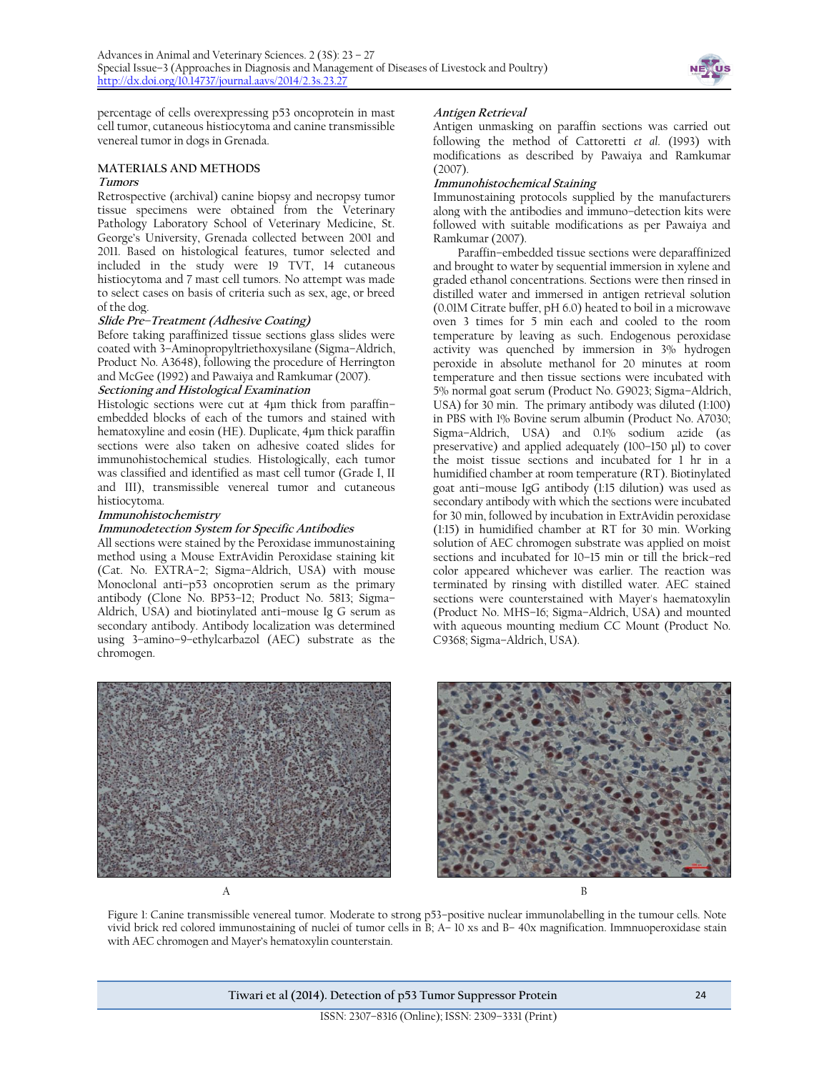

percentage of cells overexpressing p53 oncoprotein in mast cell tumor, cutaneous histiocytoma and canine transmissible venereal tumor in dogs in Grenada.

### **MATERIALS AND METHODS**

#### **Tumors**

Retrospective (archival) canine biopsy and necropsy tumor tissue specimens were obtained from the Veterinary Pathology Laboratory School of Veterinary Medicine, St. George's University, Grenada collected between 2001 and 2011. Based on histological features, tumor selected and included in the study were 19 TVT, 14 cutaneous histiocytoma and 7 mast cell tumors. No attempt was made to select cases on basis of criteria such as sex, age, or breed of the dog.

#### **Slide Pre–Treatment (Adhesive Coating)**

Before taking paraffinized tissue sections glass slides were coated with 3–Aminopropyltriethoxysilane (Sigma–Aldrich, Product No. A3648), following the procedure of Herrington and McGee (1992) and Pawaiya and Ramkumar (2007).

#### **Sectioning and Histological Examination**

Histologic sections were cut at 4µm thick from paraffin– embedded blocks of each of the tumors and stained with hematoxyline and eosin (HE). Duplicate, 4µm thick paraffin sections were also taken on adhesive coated slides for immunohistochemical studies. Histologically, each tumor was classified and identified as mast cell tumor (Grade I, II and III), transmissible venereal tumor and cutaneous histiocytoma.

#### **Immunohistochemistry**

#### **Immunodetection System for Specific Antibodies**

All sections were stained by the Peroxidase immunostaining method using a Mouse ExtrAvidin Peroxidase staining kit (Cat. No. EXTRA–2; Sigma–Aldrich, USA) with mouse Monoclonal anti–p53 oncoprotien serum as the primary antibody (Clone No. BP53–12; Product No. 5813; Sigma– Aldrich, USA) and biotinylated anti–mouse Ig G serum as secondary antibody. Antibody localization was determined using 3–amino–9–ethylcarbazol (AEC) substrate as the chromogen.

#### **Antigen Retrieval**

Antigen unmasking on paraffin sections was carried out following the method of Cattoretti *et al*. (1993) with modifications as described by Pawaiya and Ramkumar (2007).

#### **Immunohistochemical Staining**

Immunostaining protocols supplied by the manufacturers along with the antibodies and immuno–detection kits were followed with suitable modifications as per Pawaiya and Ramkumar (2007).

Paraffin–embedded tissue sections were deparaffinized and brought to water by sequential immersion in xylene and graded ethanol concentrations. Sections were then rinsed in distilled water and immersed in antigen retrieval solution (0.01M Citrate buffer, pH 6.0) heated to boil in a microwave oven 3 times for 5 min each and cooled to the room temperature by leaving as such. Endogenous peroxidase activity was quenched by immersion in 3% hydrogen peroxide in absolute methanol for 20 minutes at room temperature and then tissue sections were incubated with 5% normal goat serum (Product No. G9023; Sigma–Aldrich, USA) for 30 min. The primary antibody was diluted (1:100) in PBS with 1% Bovine serum albumin (Product No. A7030; Sigma–Aldrich, USA) and 0.1% sodium azide (as preservative) and applied adequately (100–150 µl) to cover the moist tissue sections and incubated for 1 hr in a humidified chamber at room temperature (RT). Biotinylated goat anti–mouse IgG antibody (1:15 dilution) was used as secondary antibody with which the sections were incubated for 30 min, followed by incubation in ExtrAvidin peroxidase (1:15) in humidified chamber at RT for 30 min. Working solution of AEC chromogen substrate was applied on moist sections and incubated for 10–15 min or till the brick–red color appeared whichever was earlier. The reaction was terminated by rinsing with distilled water. AEC stained sections were counterstained with Mayer's haematoxylin (Product No. MHS–16; Sigma–Aldrich, USA) and mounted with aqueous mounting medium CC Mount (Product No. C9368; Sigma–Aldrich, USA).





Figure 1: Canine transmissible venereal tumor. Moderate to strong p53–positive nuclear immunolabelling in the tumour cells. Note vivid brick red colored immunostaining of nuclei of tumor cells in B; A– 10 xs and B– 40x magnification. Immnuoperoxidase stain with AEC chromogen and Mayer's hematoxylin counterstain.

**Tiwari et al (2014). Detection of p53 Tumor Suppressor Protein** 24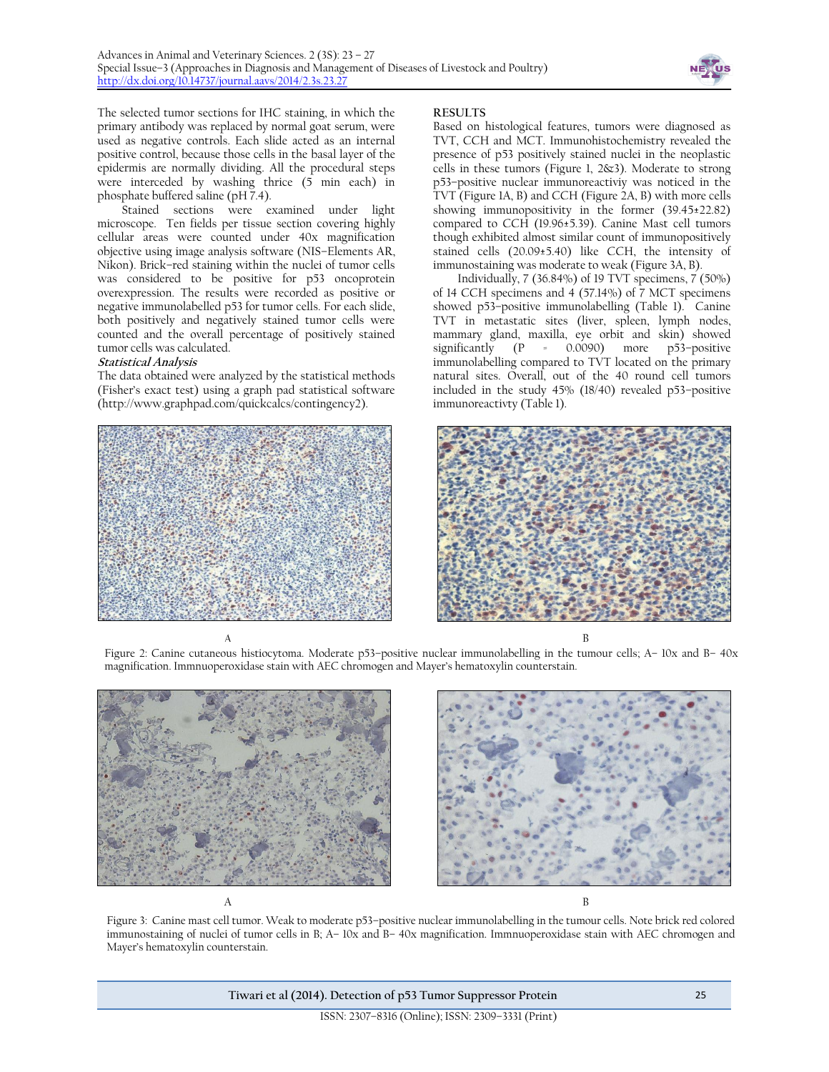

The selected tumor sections for IHC staining, in which the primary antibody was replaced by normal goat serum, were used as negative controls. Each slide acted as an internal positive control, because those cells in the basal layer of the epidermis are normally dividing. All the procedural steps were interceded by washing thrice (5 min each) in phosphate buffered saline (pH 7.4).

Stained sections were examined under light microscope. Ten fields per tissue section covering highly cellular areas were counted under 40x magnification objective using image analysis software (NIS–Elements AR, Nikon). Brick–red staining within the nuclei of tumor cells was considered to be positive for p53 oncoprotein overexpression. The results were recorded as positive or negative immunolabelled p53 for tumor cells. For each slide, both positively and negatively stained tumor cells were counted and the overall percentage of positively stained tumor cells was calculated.

#### **Statistical Analysis**

The data obtained were analyzed by the statistical methods (Fisher's exact test) using a graph pad statistical software (http://www.graphpad.com/quickcalcs/contingency2).



**RESULTS**

Based on histological features, tumors were diagnosed as TVT, CCH and MCT. Immunohistochemistry revealed the presence of p53 positively stained nuclei in the neoplastic cells in these tumors (Figure 1, 2&3). Moderate to strong p53–positive nuclear immunoreactiviy was noticed in the TVT (Figure 1A, B) and CCH (Figure 2A, B) with more cells showing immunopositivity in the former (39.45±22.82) compared to CCH (19.96±5.39). Canine Mast cell tumors though exhibited almost similar count of immunopositively stained cells (20.09±5.40) like CCH, the intensity of immunostaining was moderate to weak (Figure 3A, B).

Individually, 7 (36.84%) of 19 TVT specimens, 7 (50%) of 14 CCH specimens and 4 (57.14%) of 7 MCT specimens showed p53–positive immunolabelling (Table 1). Canine TVT in metastatic sites (liver, spleen, lymph nodes, mammary gland, maxilla, eye orbit and skin) showed significantly (P = 0.0090) more p53–positive immunolabelling compared to TVT located on the primary natural sites. Overall, out of the 40 round cell tumors included in the study 45% (18/40) revealed p53–positive immunoreactivty (Table 1).



 $\mathsf A$  B Figure 2: Canine cutaneous histiocytoma. Moderate p53–positive nuclear immunolabelling in the tumour cells; A– 10x and B– 40x magnification. Immnuoperoxidase stain with AEC chromogen and Mayer's hematoxylin counterstain.



 $\mathbf A$  B

Figure 3: Canine mast cell tumor. Weak to moderate p53–positive nuclear immunolabelling in the tumour cells. Note brick red colored immunostaining of nuclei of tumor cells in B; A– 10x and B– 40x magnification. Immnuoperoxidase stain with AEC chromogen and Mayer's hematoxylin counterstain.

**Tiwari et al (2014). Detection of p53 Tumor Suppressor Protein** 25

ISSN: 2307–8316 (Online); ISSN: 2309–3331 (Print)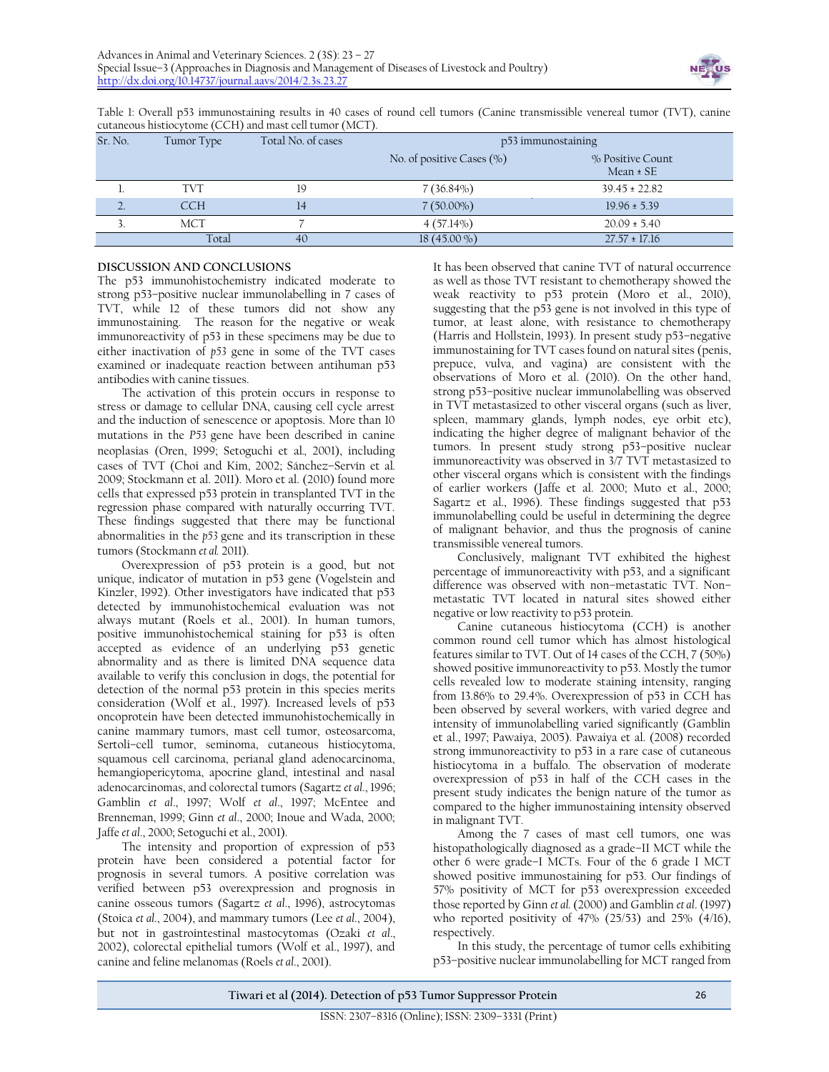

Table 1: Overall p53 immunostaining results in 40 cases of round cell tumors (Canine transmissible venereal tumor (TVT), canine cutaneous histiocytome (CCH) and mast cell tumor (MCT).

| Sr. No. | Tumor Type | Total No. of cases | p53 immunostaining            |                                   |
|---------|------------|--------------------|-------------------------------|-----------------------------------|
|         |            |                    | No. of positive Cases $(\% )$ | % Positive Count<br>$Mean \pm SE$ |
|         | <b>TVT</b> | 19                 | $7(36.84\%)$                  | $39.45 \pm 22.82$                 |
|         | <b>CCH</b> | 14                 | $7(50.00\%)$                  | $19.96 \pm 5.39$                  |
|         | MCT        |                    | $4(57.14\%)$                  | $20.09 \pm 5.40$                  |
|         | Total      | 40                 | $18(45.00\% )$                | $27.57 \pm 17.16$                 |

### **DISCUSSION AND CONCLUSIONS**

The p53 immunohistochemistry indicated moderate to strong p53–positive nuclear immunolabelling in 7 cases of TVT, while 12 of these tumors did not show any immunostaining. The reason for the negative or weak immunoreactivity of p53 in these specimens may be due to either inactivation of *p53* gene in some of the TVT cases examined or inadequate reaction between antihuman p53 antibodies with canine tissues.

The activation of this protein occurs in response to stress or damage to cellular DNA, causing cell cycle arrest and the induction of senescence or apoptosis. More than 10 mutations in the *P53* gene have been described in canine neoplasias (Oren, 1999; Setoguchi et al*.,* 2001), including cases of TVT (Choi and Kim, 2002; Sánchez–Servín et al*.* 2009; Stockmann et al. 2011). Moro et al. (2010) found more cells that expressed p53 protein in transplanted TVT in the regression phase compared with naturally occurring TVT. These findings suggested that there may be functional abnormalities in the *p53* gene and its transcription in these tumors (Stockmann *et al.* 2011).

Overexpression of p53 protein is a good, but not unique, indicator of mutation in p53 gene (Vogelstein and Kinzler, 1992). Other investigators have indicated that p53 detected by immunohistochemical evaluation was not always mutant (Roels et al., 2001). In human tumors, positive immunohistochemical staining for p53 is often accepted as evidence of an underlying p53 genetic abnormality and as there is limited DNA sequence data available to verify this conclusion in dogs, the potential for detection of the normal p53 protein in this species merits consideration (Wolf et al., 1997). Increased levels of p53 oncoprotein have been detected immunohistochemically in canine mammary tumors, mast cell tumor, osteosarcoma, Sertoli–cell tumor, seminoma, cutaneous histiocytoma, squamous cell carcinoma, perianal gland adenocarcinoma, hemangiopericytoma, apocrine gland, intestinal and nasal adenocarcinomas, and colorectal tumors (Sagartz *et al*., 1996; Gamblin *et al*., 1997; Wolf *et al*., 1997; McEntee and Brenneman, 1999; Ginn *et al*., 2000; Inoue and Wada, 2000; Jaffe *et al*., 2000; Setoguchi et al., 2001).

The intensity and proportion of expression of p53 protein have been considered a potential factor for prognosis in several tumors. A positive correlation was verified between p53 overexpression and prognosis in canine osseous tumors (Sagartz *et al*., 1996), astrocytomas (Stoica *et al*., 2004), and mammary tumors (Lee *et al*., 2004), but not in gastrointestinal mastocytomas (Ozaki *et al*., 2002), colorectal epithelial tumors (Wolf et al., 1997), and canine and feline melanomas (Roels *et al*., 2001).

It has been observed that canine TVT of natural occurrence as well as those TVT resistant to chemotherapy showed the weak reactivity to p53 protein (Moro et al., 2010), suggesting that the p53 gene is not involved in this type of tumor, at least alone, with resistance to chemotherapy (Harris and Hollstein, 1993). In present study p53–negative immunostaining for TVT cases found on natural sites (penis, prepuce, vulva, and vagina) are consistent with the observations of Moro et al. (2010). On the other hand, strong p53–positive nuclear immunolabelling was observed in TVT metastasized to other visceral organs (such as liver, spleen, mammary glands, lymph nodes, eye orbit etc), indicating the higher degree of malignant behavior of the tumors. In present study strong p53–positive nuclear immunoreactivity was observed in 3/7 TVT metastasized to other visceral organs which is consistent with the findings of earlier workers (Jaffe et al. 2000; Muto et al., 2000; Sagartz et al., 1996). These findings suggested that p53 immunolabelling could be useful in determining the degree of malignant behavior, and thus the prognosis of canine transmissible venereal tumors.

Conclusively, malignant TVT exhibited the highest percentage of immunoreactivity with p53, and a significant difference was observed with non–metastatic TVT. Non– metastatic TVT located in natural sites showed either negative or low reactivity to p53 protein.

Canine cutaneous histiocytoma (CCH) is another common round cell tumor which has almost histological features similar to TVT. Out of 14 cases of the CCH, 7 (50%) showed positive immunoreactivity to p53. Mostly the tumor cells revealed low to moderate staining intensity, ranging from 13.86% to 29.4%. Overexpression of p53 in CCH has been observed by several workers, with varied degree and intensity of immunolabelling varied significantly (Gamblin et al., 1997; Pawaiya, 2005). Pawaiya et al. (2008) recorded strong immunoreactivity to p53 in a rare case of cutaneous histiocytoma in a buffalo. The observation of moderate overexpression of p53 in half of the CCH cases in the present study indicates the benign nature of the tumor as compared to the higher immunostaining intensity observed in malignant TVT.

Among the 7 cases of mast cell tumors, one was histopathologically diagnosed as a grade–II MCT while the other 6 were grade–I MCTs. Four of the 6 grade I MCT showed positive immunostaining for p53. Our findings of 57% positivity of MCT for p53 overexpression exceeded those reported by Ginn *et al.* (2000) and Gamblin *et al*. (1997) who reported positivity of 47% (25/53) and 25% (4/16), respectively.

In this study, the percentage of tumor cells exhibiting p53–positive nuclear immunolabelling for MCT ranged from